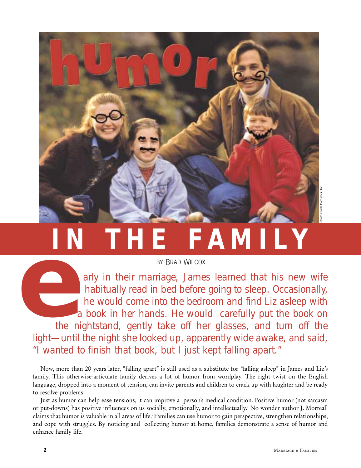

# **IN THE FAMILY**

arly in their marriage, James learned that his new wife habitually read in bed before going to sleep. Occasionally, he would come into the bedroom and find Liz asleep with a book in her hands. He would carefully put the book on the nightstand, gently take off her glasses, and turn off the light—until the night she looked up, apparently wide awake, and said, "I wanted to finish that book, but I just kept falling apart." BY BRAD WILCOX<br>
BY BRAD WILCOX<br>
arly in their marriage, Jame<br>
habitually read in bed before<br>
he would come into the bedr<br>
a book in her hands. He wou<br>
the nightstand, gently take off he<br>
light—until the night she looked up

Now, more than 20 years later, "falling apart" is still used as a substitute for "falling asleep" in James and Liz's family. This otherwise-articulate family derives a lot of humor from wordplay. The right twist on the English language, dropped into a moment of tension, can invite parents and children to crack up with laughter and be ready to resolve problems.

Just as humor can help ease tensions, it can improve a person's medical condition. Positive humor (not sarcasm or put-downs) has positive influences on us socially, emotionally, and intellectually.1 No wonder author J. Morreall claims that humor is valuable in all areas of life.2 Families can use humor to gain perspective, strengthen relationships, and cope with struggles. By noticing and collecting humor at home, families demonstrate a sense of humor and enhance family life.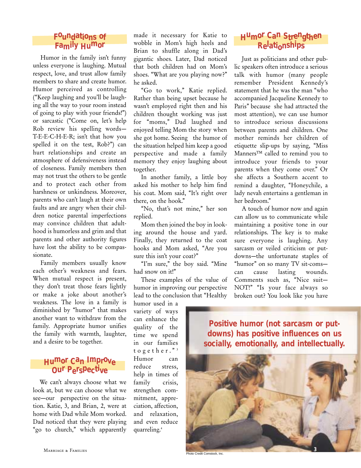#### **Foundations of Family Humor**

Humor in the family isn't funny unless everyone is laughing. Mutual respect, love, and trust allow family members to share and create humor. Humor perceived as controlling ("Keep laughing and you'll be laughing all the way to your room instead of going to play with your friends!") or sarcastic ("Come on, let's help Rob review his spelling words— T-E-E-C-H-E-R; isn't that how you spelled it on the test, Rob?") can hurt relationships and create an atmosphere of defensiveness instead of closeness. Family members then may not trust the others to be gentle and to protect each other from harshness or unkindness. Moreover, parents who can't laugh at their own faults and are angry when their children notice parental imperfections may convince children that adulthood is humorless and grim and that parents and other authority figures have lost the ability to be compassionate.

Family members usually know each other's weakness and fears. When mutual respect is present, they don't treat those fears lightly or make a joke about another's weakness. The love in a family is diminished by "humor" that makes another want to withdraw from the family. Appropriate humor unifies the family with warmth, laughter, and a desire to be together.

## **Humor Can Improve Our Perspecti ve**

We can't always choose what we look at, but we can choose what we see—our perspective on the situation. Katie, 3, and Brian, 2, were at home with Dad while Mom worked. Dad noticed that they were playing "go to church," which apparently made it necessary for Katie to wobble in Mom's high heels and Brian to shuffle along in Dad's gigantic shoes. Later, Dad noticed that both children had on Mom's shoes. "What are you playing now?" he asked.

"Go to work," Katie replied. Rather than being upset because he wasn't employed right then and his children thought working was just for "moms," Dad laughed and enjoyed telling Mom the story when she got home. Seeing the humor of the situation helped him keep a good perspective and made a family memory they enjoy laughing about together.

In another family, a little boy asked his mother to help him find his coat. Mom said, "It's right over there, on the hook."

"No, that's not mine," her son replied.

Mom then joined the boy in looking around the house and yard. Finally, they returned to the coat hooks and Mom asked, "Are you sure this isn't your coat?"

"I'm sure," the boy said. "Mine had snow on it!"

These examples of the value of humor in improving our perspective lead to the conclusion that "Healthy

humor used in a variety of ways can enhance the quality of the time we spend in our families together." <sup>3</sup> Humor can reduce stress, help in times of family crisis, strengthen commitment, appreciation, affection, and relaxation, and even reduce quarreling.4

#### **Humor Can Strengthen Relationships**

Just as politicians and other public speakers often introduce a serious talk with humor (many people remember President Kennedy's statement that he was the man "who accompanied Jacqueline Kennedy to Paris" because she had attracted the most attention), we can use humor to introduce serious discussions between parents and children. One mother reminds her children of etiquette slip-ups by saying, "Miss Manners™ called to remind you to introduce your friends to your parents when they come over." Or she affects a Southern accent to remind a daughter, "Honeychile, a lady nevah entertains a gentleman in her bedroom."

A touch of humor now and again can allow us to communicate while maintaining a positive tone in our relationships. The key is to make sure everyone is laughing. Any sarcasm or veiled criticism or putdowns—the unfortunate staples of "humor" on so many TV sit-coms can cause lasting wounds. Comments such as, "Nice suit— NOT!" "Is your face always so broken out? You look like you have



**3**

**Photo Credit Comstock, Inc.**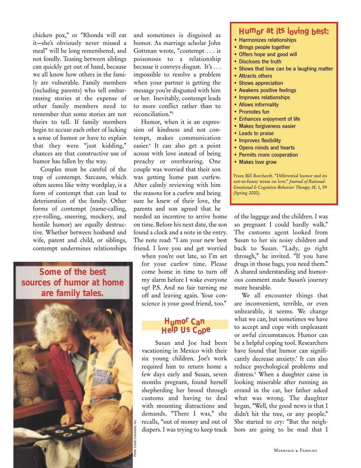chicken pox," or "Rhonda will eat it—she's obviously never missed a meal" will be long remembered, and not fondly. Teasing between siblings can quickly get out of hand, because we all know how others in the family are vulnerable. Family members (including parents) who tell embarrassing stories at the expense of other family members need to remember that some stories are not theirs to tell. If family members begin to accuse each other of lacking a sense of humor or have to explain that they were "just kidding," chances are that constructive use of humor has fallen by the way.

Couples must be careful of the trap of contempt. Sarcasm, which often seems like witty wordplay, is a form of contempt that can lead to deterioration of the family. Other forms of contempt (name-calling, eye-rolling, sneering, mockery, and hostile humor) are equally destructive. Whether between husband and wife, parent and child, or siblings, contempt undermines relationships

**Some of the best sources of humor at home are family tales.**



and sometimes is disguised as humor. As marriage scholar John Gottman wrote, "contempt . . . is poisonous to a relationship because it conveys disgust. It's . . . impossible to resolve a problem when your partner is getting the message you're disgusted with him or her. Inevitably, contempt leads to more conflict rather than to reconciliation."5

Humor, when it is an expression of kindness and not contempt, makes communication easier.6 It can also get a point across with love instead of being preachy or overbearing. One couple was worried that their son was getting home past curfew. After calmly reviewing with him the reasons for a curfew and being sure he knew of their love, the parents and son agreed that he needed an incentive to arrive home on time. Before his next date, the son found a clock and a note in the entry. The note read: "I am your new best friend. I love you and get worried

when you're out late, so I'm set for your curfew time. Please come home in time to turn off my alarm before I wake everyone up! P.S. And no fair turning me off and leaving again. Your conscience is your good friend, too."

## **Humor Can Help Us Cope**

Susan and Joe had been vacationing in Mexico with their six young children. Joe's work required him to return home a few days early and Susan, seven months pregnant, found herself shepherding her brood through customs and having to deal with mounting distractions and demands. "There I was," she recalls, "out of money and out of diapers. I was trying to keep track

#### **Humor at its loving best:**

- Harmonizes relationships
- Brings people together
- Offers hope and good will
- Discloses the truth
- Shows that love can be a laughing matter
- Attracts others
- Shows appreciation
- Awakens positive feelings
- Improves relationships
- Allows informality
- Promotes fun
- Enhances enjoyment of life
- Makes forgiveness easier
- Leads to praise
- Improves flexibility
- Opens minds and hearts
- Permits more cooperation
- Makes love grow

From Bill Borcherdt. "Differential humor and its not-so-funny strain on love." *Journal of Rational-Emotional & Cognitive-Behavior Therapy 18*, 1, 59 (Spring 2000).

of the luggage and the children. I was so pregnant I could hardly walk." The customs agent looked from Susan to her six noisy children and back to Susan. "Lady, go right through," he invited. "If you have drugs in those bags, you need them." A shared understanding and humorous comment made Susan's journey more bearable.

We all encounter things that are inconvenient, terrible, or even unbearable, it seems. We change what we can, but sometimes we have to accept and cope with unpleasant or awful circumstances. Humor can be a helpful coping tool. Researchers have found that humor can significantly decrease anxiety.<sup>7</sup> It can also reduce psychological problems and distress.8 When a daughter came in looking miserable after running an errand in the car, her father asked what was wrong. The daughter began, "Well, the good news is that I didn't hit the tree, or any people." She started to cry: "But the neighbors are going to be mad that I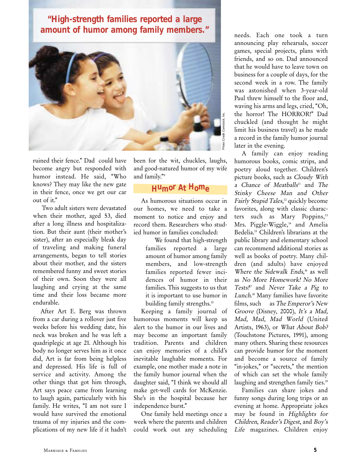**"High-strength families reported a large amount of humor among family members."**



ruined their fence." Dad could have become angry but responded with humor instead. He said, "Who knows? They may like the new gate in their fence, once we get our car out of it."

Two adult sisters were devastated when their mother, aged 53, died after a long illness and hospitalization. But their aunt (their mother's sister), after an especially bleak day of traveling and making funeral arrangements, began to tell stories about their mother, and the sisters remembered funny and sweet stories of their own. Soon they were all laughing and crying at the same time and their loss became more endurable.

After Art E. Berg was thrown from a car during a rollover just five weeks before his wedding date, his neck was broken and he was left a quadriplegic at age 21. Although his body no longer serves him as it once did, Art is far from being helpless and depressed. His life is full of service and activity. Among the other things that got him through, Art says peace came from learning to laugh again, particularly with his family. He writes, "I am not sure I would have survived the emotional trauma of my injuries and the complications of my new life if it hadn't been for the wit, chuckles, laughs, and good-natured humor of my wife and family."9

#### **Humor At Home**

As humorous situations occur in our homes, we need to take a moment to notice and enjoy and record them. Researchers who studied humor in families concluded:

> We found that high-strength families reported a large amount of humor among family members, and low-strength families reported fewer incidences of humor in their families. This suggests to us that it is important to use humor in building family strengths.<sup>10</sup>

Keeping a family journal of humorous moments will keep us alert to the humor in our lives and may become an important family tradition. Parents and children can enjoy memories of a child's inevitable laughable moments. For example, one mother made a note in the family humor journal when the daughter said, "I think we should all make get-well cards for McKenzie. She's in the hospital because her independence burst."

One family held meetings once a week where the parents and children could work out any scheduling needs. Each one took a turn announcing play rehearsals, soccer games, special projects, plans with friends, and so on. Dad announced that he would have to leave town on business for a couple of days, for the second week in a row. The family was astonished when 3-year-old Paul threw himself to the floor and, waving his arms and legs, cried, "Oh, the horror! The HORROR!" Dad chuckled (and thought he might limit his business travel) as he made a record in the family humor journal later in the evening.

A family can enjoy reading humorous books, comic strips, and poetry aloud together. Children's picture books, such as Cloudy With a Chance of Meatballs<sup>11</sup> and The Stinky Cheese Man and Other Fairly Stupid Tales, <sup>12</sup> quickly become favorites, along with classic characters such as Mary Poppins,<sup>13</sup> Mrs. Piggle-Wiggle,<sup>14</sup> and Amelia Bedelia.15 Children's librarians at the public library and elementary school can recommend additional stories as well as books of poetry. Many children (and adults) have enjoyed Where the Sidewalk Ends,<sup>16</sup> as well as No More Homework! No More Tests!<sup>17</sup> and Never Take a Pig to Lunch. <sup>18</sup> Many families have favorite films, such as The Emperor's New Groove (Disney, 2000), It's a Mad, Mad, Mad, Mad World (United Artists, 1963), or What About Bob? (Touchstone Pictures, 1991), among many others. Sharing these resources can provide humor for the moment and become a source of family "in-jokes," or "secrets," the mention of which can set the whole family laughing and strengthen family ties.<sup>19</sup>

Families can share jokes and funny songs during long trips or an evening at home. Appropriate jokes may be found in Highlights for Children, Reader's Digest, and Boy's Life magazines. Children enjoy